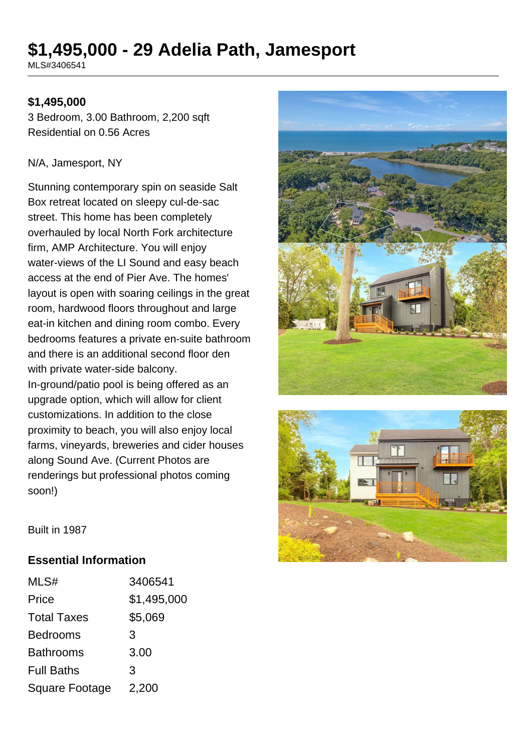# **\$1,495,000 - 29 Adelia Path, Jamesport**

MLS#3406541

#### **\$1,495,000**

3 Bedroom, 3.00 Bathroom, 2,200 sqft Residential on 0.56 Acres

#### N/A, Jamesport, NY

Stunning contemporary spin on seaside Salt Box retreat located on sleepy cul-de-sac street. This home has been completely overhauled by local North Fork architecture firm, AMP Architecture. You will enjoy water-views of the LI Sound and easy beach access at the end of Pier Ave. The homes' layout is open with soaring ceilings in the great room, hardwood floors throughout and large eat-in kitchen and dining room combo. Every bedrooms features a private en-suite bathroom and there is an additional second floor den with private water-side balcony. In-ground/patio pool is being offered as an upgrade option, which will allow for client customizations. In addition to the close proximity to beach, you will also enjoy local farms, vineyards, breweries and cider houses along Sound Ave. (Current Photos are renderings but professional photos coming soon!)





Built in 1987

#### **Essential Information**

| MLS#                  | 3406541     |
|-----------------------|-------------|
| Price                 | \$1,495,000 |
| <b>Total Taxes</b>    | \$5,069     |
| <b>Bedrooms</b>       | 3           |
| <b>Bathrooms</b>      | 3.00        |
| <b>Full Baths</b>     | 3           |
| <b>Square Footage</b> | 2,200       |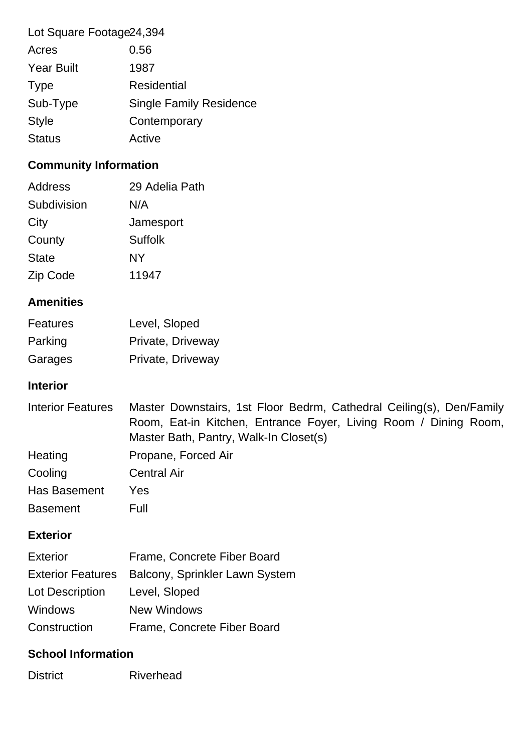| Lot Square Footage 24, 394 |                                |
|----------------------------|--------------------------------|
| Acres                      | 0.56                           |
| <b>Year Built</b>          | 1987                           |
| <b>Type</b>                | Residential                    |
| Sub-Type                   | <b>Single Family Residence</b> |
| <b>Style</b>               | Contemporary                   |
| <b>Status</b>              | Active                         |

# **Community Information**

| Address      | 29 Adelia Path |
|--------------|----------------|
| Subdivision  | N/A            |
| City         | Jamesport      |
| County       | Suffolk        |
| <b>State</b> | NY             |
| Zip Code     | 11947          |

## **Amenities**

| <b>Features</b> | Level, Sloped     |
|-----------------|-------------------|
| Parking         | Private, Driveway |
| Garages         | Private, Driveway |

#### **Interior**

| <b>Interior Features</b> | Master Downstairs, 1st Floor Bedrm, Cathedral Ceiling(s), Den/Family<br>Room, Eat-in Kitchen, Entrance Foyer, Living Room / Dining Room,<br>Master Bath, Pantry, Walk-In Closet(s) |
|--------------------------|------------------------------------------------------------------------------------------------------------------------------------------------------------------------------------|
| Heating                  | Propane, Forced Air                                                                                                                                                                |
| Cooling                  | <b>Central Air</b>                                                                                                                                                                 |
| Has Basement             | Yes.                                                                                                                                                                               |
| <b>Basement</b>          | Full                                                                                                                                                                               |

### **Exterior**

| <b>Exterior</b> | Frame, Concrete Fiber Board                      |
|-----------------|--------------------------------------------------|
|                 | Exterior Features Balcony, Sprinkler Lawn System |
| Lot Description | Level, Sloped                                    |
| <b>Windows</b>  | <b>New Windows</b>                               |
| Construction    | Frame, Concrete Fiber Board                      |

## **School Information**